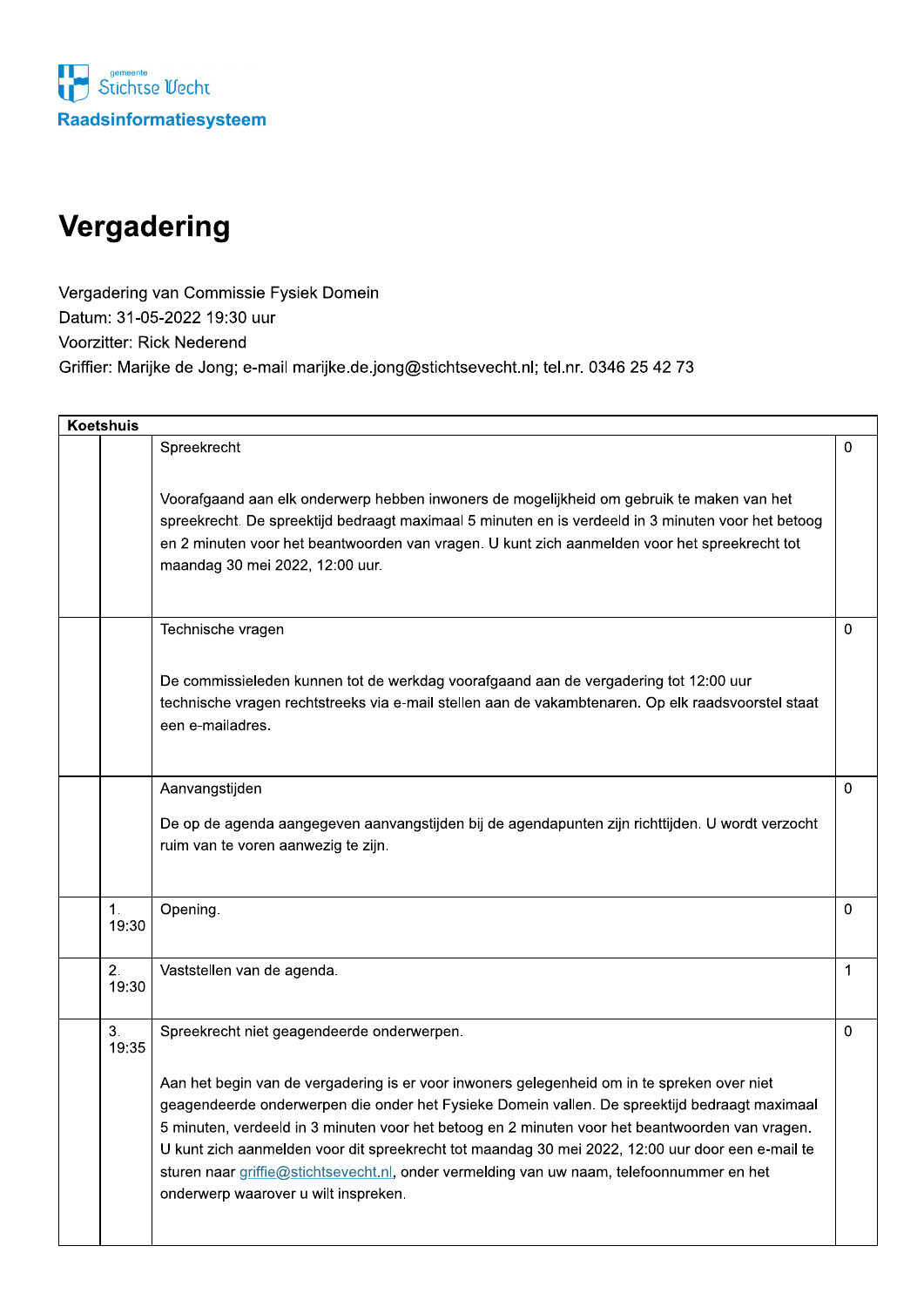

## Vergadering

Vergadering van Commissie Fysiek Domein Datum: 31-05-2022 19:30 uur Voorzitter: Rick Nederend Griffier: Marijke de Jong; e-mail marijke.de.jong@stichtsevecht.nl; tel.nr. 0346 25 42 73

| Koetshuis |             |                                                                                                                                                                                                                                                                                                                                                                                                                                                                                                                                                                                        |              |
|-----------|-------------|----------------------------------------------------------------------------------------------------------------------------------------------------------------------------------------------------------------------------------------------------------------------------------------------------------------------------------------------------------------------------------------------------------------------------------------------------------------------------------------------------------------------------------------------------------------------------------------|--------------|
|           |             | Spreekrecht                                                                                                                                                                                                                                                                                                                                                                                                                                                                                                                                                                            | 0            |
|           |             | Voorafgaand aan elk onderwerp hebben inwoners de mogelijkheid om gebruik te maken van het<br>spreekrecht. De spreektijd bedraagt maximaal 5 minuten en is verdeeld in 3 minuten voor het betoog<br>en 2 minuten voor het beantwoorden van vragen. U kunt zich aanmelden voor het spreekrecht tot<br>maandag 30 mei 2022, 12:00 uur.                                                                                                                                                                                                                                                    |              |
|           |             | Technische vragen                                                                                                                                                                                                                                                                                                                                                                                                                                                                                                                                                                      | $\Omega$     |
|           |             | De commissieleden kunnen tot de werkdag voorafgaand aan de vergadering tot 12:00 uur<br>technische vragen rechtstreeks via e-mail stellen aan de vakambtenaren. Op elk raadsvoorstel staat<br>een e-mailadres.                                                                                                                                                                                                                                                                                                                                                                         |              |
|           |             | Aanvangstijden<br>De op de agenda aangegeven aanvangstijden bij de agendapunten zijn richttijden. U wordt verzocht<br>ruim van te voren aanwezig te zijn.                                                                                                                                                                                                                                                                                                                                                                                                                              | 0            |
|           | 1.<br>19:30 | Opening.                                                                                                                                                                                                                                                                                                                                                                                                                                                                                                                                                                               | 0            |
|           | 2.<br>19:30 | Vaststellen van de agenda.                                                                                                                                                                                                                                                                                                                                                                                                                                                                                                                                                             | $\mathbf{1}$ |
|           | 3.<br>19:35 | Spreekrecht niet geagendeerde onderwerpen.<br>Aan het begin van de vergadering is er voor inwoners gelegenheid om in te spreken over niet<br>geagendeerde onderwerpen die onder het Fysieke Domein vallen. De spreektijd bedraagt maximaal<br>5 minuten, verdeeld in 3 minuten voor het betoog en 2 minuten voor het beantwoorden van vragen.<br>U kunt zich aanmelden voor dit spreekrecht tot maandag 30 mei 2022, 12:00 uur door een e-mail te<br>sturen naar griffie@stichtsevecht.nl, onder vermelding van uw naam, telefoonnummer en het<br>onderwerp waarover u wilt inspreken. | 0            |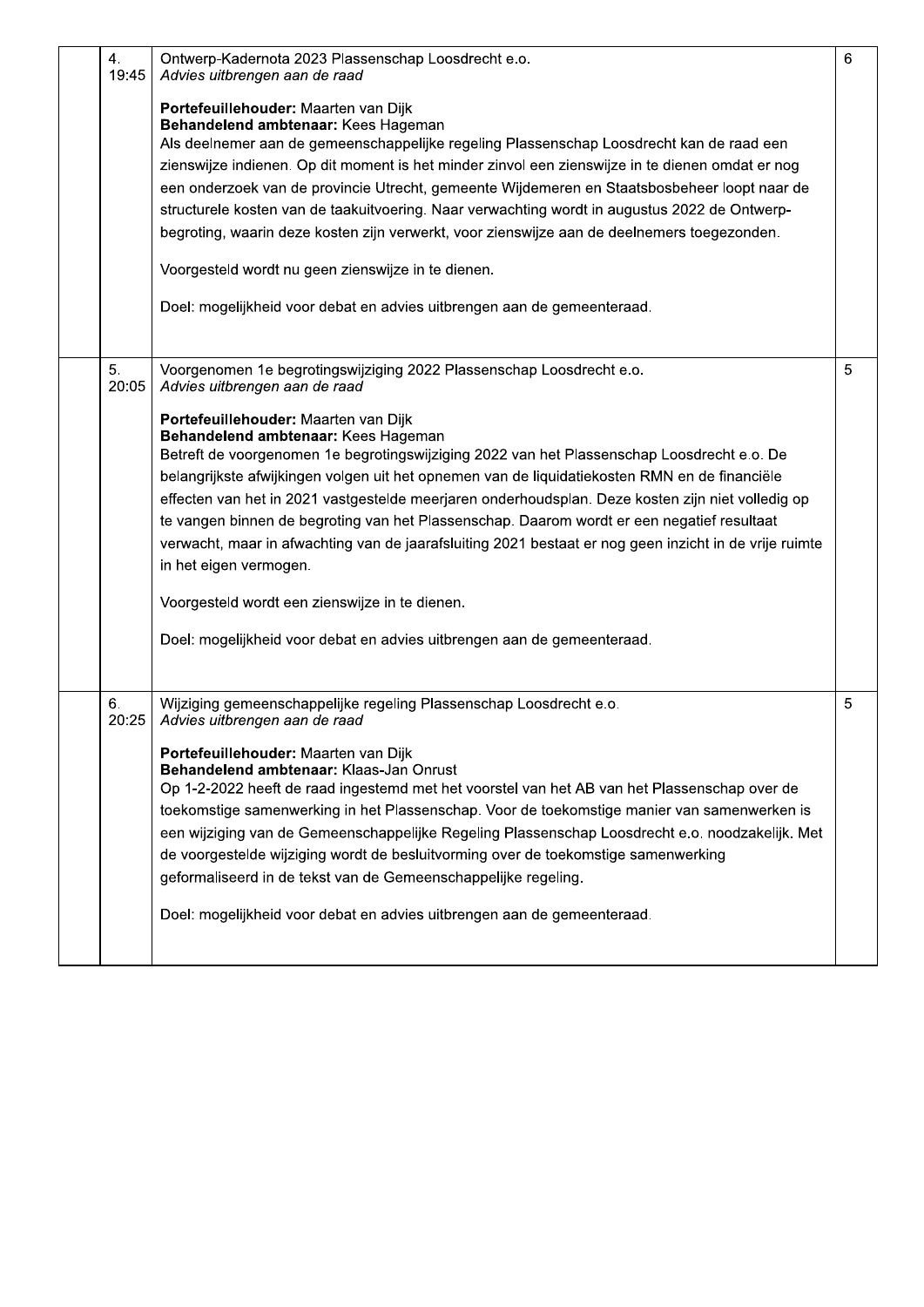| 4.<br>19:45 | Ontwerp-Kadernota 2023 Plassenschap Loosdrecht e.o.<br>Advies uitbrengen aan de raad<br>Portefeuillehouder: Maarten van Dijk<br>Behandelend ambtenaar: Kees Hageman<br>Als deelnemer aan de gemeenschappelijke regeling Plassenschap Loosdrecht kan de raad een<br>zienswijze indienen. Op dit moment is het minder zinvol een zienswijze in te dienen omdat er nog<br>een onderzoek van de provincie Utrecht, gemeente Wijdemeren en Staatsbosbeheer loopt naar de<br>structurele kosten van de taakuitvoering. Naar verwachting wordt in augustus 2022 de Ontwerp-<br>begroting, waarin deze kosten zijn verwerkt, voor zienswijze aan de deelnemers toegezonden.<br>Voorgesteld wordt nu geen zienswijze in te dienen.<br>Doel: mogelijkheid voor debat en advies uitbrengen aan de gemeenteraad.                                                    | 6 |
|-------------|---------------------------------------------------------------------------------------------------------------------------------------------------------------------------------------------------------------------------------------------------------------------------------------------------------------------------------------------------------------------------------------------------------------------------------------------------------------------------------------------------------------------------------------------------------------------------------------------------------------------------------------------------------------------------------------------------------------------------------------------------------------------------------------------------------------------------------------------------------|---|
| 5.<br>20:05 | Voorgenomen 1e begrotingswijziging 2022 Plassenschap Loosdrecht e.o.<br>Advies uitbrengen aan de raad<br>Portefeuillehouder: Maarten van Dijk<br>Behandelend ambtenaar: Kees Hageman<br>Betreft de voorgenomen 1e begrotingswijziging 2022 van het Plassenschap Loosdrecht e.o. De<br>belangrijkste afwijkingen volgen uit het opnemen van de liquidatiekosten RMN en de financiële<br>effecten van het in 2021 vastgestelde meerjaren onderhoudsplan. Deze kosten zijn niet volledig op<br>te vangen binnen de begroting van het Plassenschap. Daarom wordt er een negatief resultaat<br>verwacht, maar in afwachting van de jaarafsluiting 2021 bestaat er nog geen inzicht in de vrije ruimte<br>in het eigen vermogen.<br>Voorgesteld wordt een zienswijze in te dienen.<br>Doel: mogelijkheid voor debat en advies uitbrengen aan de gemeenteraad. | 5 |
| 6.<br>20:25 | Wijziging gemeenschappelijke regeling Plassenschap Loosdrecht e.o.<br>Advies uitbrengen aan de raad<br>Portefeuillehouder: Maarten van Dijk<br>Behandelend ambtenaar: Klaas-Jan Onrust<br>Op 1-2-2022 heeft de raad ingestemd met het voorstel van het AB van het Plassenschap over de<br>toekomstige samenwerking in het Plassenschap. Voor de toekomstige manier van samenwerken is<br>een wijziging van de Gemeenschappelijke Regeling Plassenschap Loosdrecht e.o. noodzakelijk. Met<br>de voorgestelde wijziging wordt de besluitvorming over de toekomstige samenwerking<br>geformaliseerd in de tekst van de Gemeenschappelijke regeling.<br>Doel: mogelijkheid voor debat en advies uitbrengen aan de gemeenteraad.                                                                                                                             | 5 |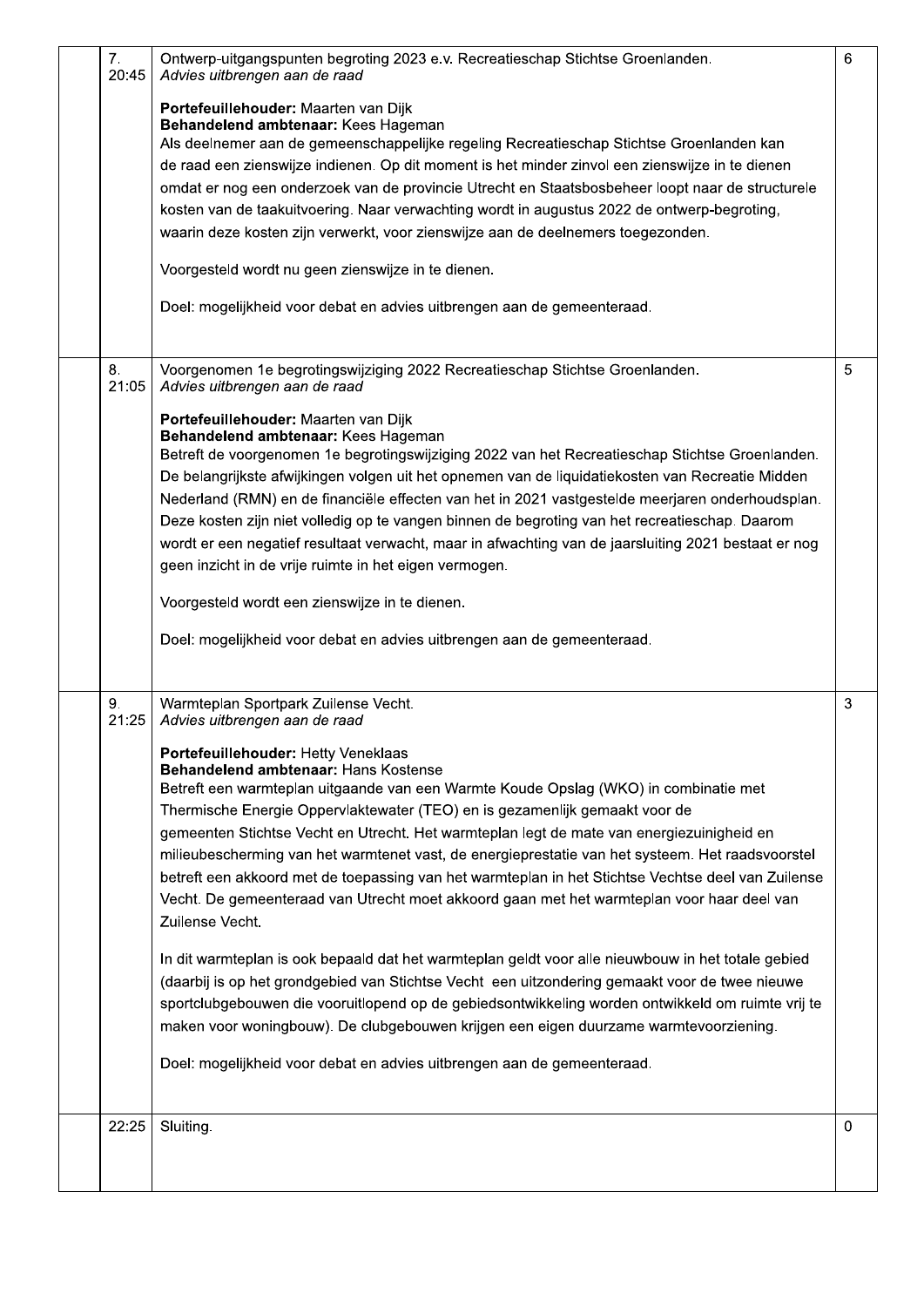| 7.<br>20:45 | Ontwerp-uitgangspunten begroting 2023 e.v. Recreatieschap Stichtse Groenlanden.<br>Advies uitbrengen aan de raad                                                                                                                                                                                                                                                                                                                                                                                                                                                                                                                                                                                                                                                                                                                                                                                                                                                                                                                                                                                                                                                   | 6 |
|-------------|--------------------------------------------------------------------------------------------------------------------------------------------------------------------------------------------------------------------------------------------------------------------------------------------------------------------------------------------------------------------------------------------------------------------------------------------------------------------------------------------------------------------------------------------------------------------------------------------------------------------------------------------------------------------------------------------------------------------------------------------------------------------------------------------------------------------------------------------------------------------------------------------------------------------------------------------------------------------------------------------------------------------------------------------------------------------------------------------------------------------------------------------------------------------|---|
|             | Portefeuillehouder: Maarten van Dijk<br>Behandelend ambtenaar: Kees Hageman<br>Als deelnemer aan de gemeenschappelijke regeling Recreatieschap Stichtse Groenlanden kan<br>de raad een zienswijze indienen. Op dit moment is het minder zinvol een zienswijze in te dienen<br>omdat er nog een onderzoek van de provincie Utrecht en Staatsbosbeheer loopt naar de structurele<br>kosten van de taakuitvoering. Naar verwachting wordt in augustus 2022 de ontwerp-begroting,<br>waarin deze kosten zijn verwerkt, voor zienswijze aan de deelnemers toegezonden.<br>Voorgesteld wordt nu geen zienswijze in te dienen.                                                                                                                                                                                                                                                                                                                                                                                                                                                                                                                                            |   |
|             | Doel: mogelijkheid voor debat en advies uitbrengen aan de gemeenteraad.                                                                                                                                                                                                                                                                                                                                                                                                                                                                                                                                                                                                                                                                                                                                                                                                                                                                                                                                                                                                                                                                                            |   |
| 8.<br>21:05 | Voorgenomen 1e begrotingswijziging 2022 Recreatieschap Stichtse Groenlanden.<br>Advies uitbrengen aan de raad                                                                                                                                                                                                                                                                                                                                                                                                                                                                                                                                                                                                                                                                                                                                                                                                                                                                                                                                                                                                                                                      | 5 |
|             | Portefeuillehouder: Maarten van Dijk<br>Behandelend ambtenaar: Kees Hageman<br>Betreft de voorgenomen 1e begrotingswijziging 2022 van het Recreatieschap Stichtse Groenlanden.<br>De belangrijkste afwijkingen volgen uit het opnemen van de liquidatiekosten van Recreatie Midden<br>Nederland (RMN) en de financiële effecten van het in 2021 vastgestelde meerjaren onderhoudsplan.<br>Deze kosten zijn niet volledig op te vangen binnen de begroting van het recreatieschap. Daarom<br>wordt er een negatief resultaat verwacht, maar in afwachting van de jaarsluiting 2021 bestaat er nog<br>geen inzicht in de vrije ruimte in het eigen vermogen.<br>Voorgesteld wordt een zienswijze in te dienen.<br>Doel: mogelijkheid voor debat en advies uitbrengen aan de gemeenteraad.                                                                                                                                                                                                                                                                                                                                                                            |   |
| 9.<br>21:25 | Warmteplan Sportpark Zuilense Vecht.<br>Advies uitbrengen aan de raad                                                                                                                                                                                                                                                                                                                                                                                                                                                                                                                                                                                                                                                                                                                                                                                                                                                                                                                                                                                                                                                                                              | 3 |
|             | Portefeuillehouder: Hetty Veneklaas<br><b>Behandelend ambtenaar: Hans Kostense</b><br>Betreft een warmteplan uitgaande van een Warmte Koude Opslag (WKO) in combinatie met<br>Thermische Energie Oppervlaktewater (TEO) en is gezamenlijk gemaakt voor de<br>gemeenten Stichtse Vecht en Utrecht. Het warmteplan legt de mate van energiezuinigheid en<br>milieubescherming van het warmtenet vast, de energieprestatie van het systeem. Het raadsvoorstel<br>betreft een akkoord met de toepassing van het warmteplan in het Stichtse Vechtse deel van Zuilense<br>Vecht. De gemeenteraad van Utrecht moet akkoord gaan met het warmteplan voor haar deel van<br>Zuilense Vecht.<br>In dit warmteplan is ook bepaald dat het warmteplan geldt voor alle nieuwbouw in het totale gebied<br>(daarbij is op het grondgebied van Stichtse Vecht een uitzondering gemaakt voor de twee nieuwe<br>sportclubgebouwen die vooruitlopend op de gebiedsontwikkeling worden ontwikkeld om ruimte vrij te<br>maken voor woningbouw). De clubgebouwen krijgen een eigen duurzame warmtevoorziening.<br>Doel: mogelijkheid voor debat en advies uitbrengen aan de gemeenteraad. |   |
| 22:25       | Sluiting.                                                                                                                                                                                                                                                                                                                                                                                                                                                                                                                                                                                                                                                                                                                                                                                                                                                                                                                                                                                                                                                                                                                                                          | 0 |
|             |                                                                                                                                                                                                                                                                                                                                                                                                                                                                                                                                                                                                                                                                                                                                                                                                                                                                                                                                                                                                                                                                                                                                                                    |   |

ı